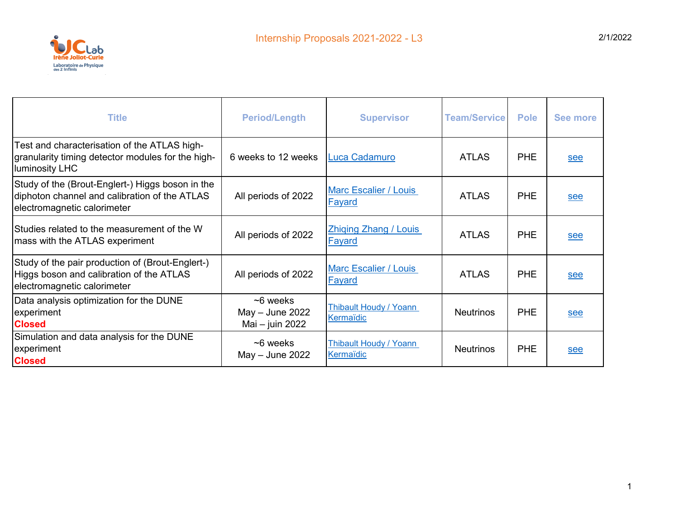

| <b>Title</b>                                                                                                                     | <b>Period/Length</b>                               | <b>Supervisor</b>                             | <b>Team/Service</b> | <b>Pole</b> | See more |
|----------------------------------------------------------------------------------------------------------------------------------|----------------------------------------------------|-----------------------------------------------|---------------------|-------------|----------|
| Test and characterisation of the ATLAS high-<br>granularity timing detector modules for the high-<br>luminosity LHC              | 6 weeks to 12 weeks                                | Luca Cadamuro                                 | <b>ATLAS</b>        | <b>PHE</b>  | see      |
| Study of the (Brout-Englert-) Higgs boson in the<br>diphoton channel and calibration of the ATLAS<br>electromagnetic calorimeter | All periods of 2022                                | <b>Marc Escalier / Louis</b><br><b>Fayard</b> | <b>ATLAS</b>        | <b>PHE</b>  | see      |
| Studies related to the measurement of the W<br>mass with the ATLAS experiment                                                    | All periods of 2022                                | <b>Zhiging Zhang / Louis</b><br><b>Fayard</b> | <b>ATLAS</b>        | <b>PHE</b>  | see      |
| Study of the pair production of (Brout-Englert-)<br>Higgs boson and calibration of the ATLAS<br>electromagnetic calorimeter      | All periods of 2022                                | <b>Marc Escalier / Louis</b><br>Fayard        | <b>ATLAS</b>        | <b>PHE</b>  | see      |
| Data analysis optimization for the DUNE<br>experiment<br><b>Closed</b>                                                           | $~6$ weeks<br>$May - June 2022$<br>Mai - juin 2022 | Thibault Houdy / Yoann<br>Kermaïdic           | <b>Neutrinos</b>    | PHE         | see      |
| Simulation and data analysis for the DUNE<br>experiment<br><b>Closed</b>                                                         | $~5$ weeks<br>May - June 2022                      | Thibault Houdy / Yoann<br>Kermaïdic           | <b>Neutrinos</b>    | PHE         | see      |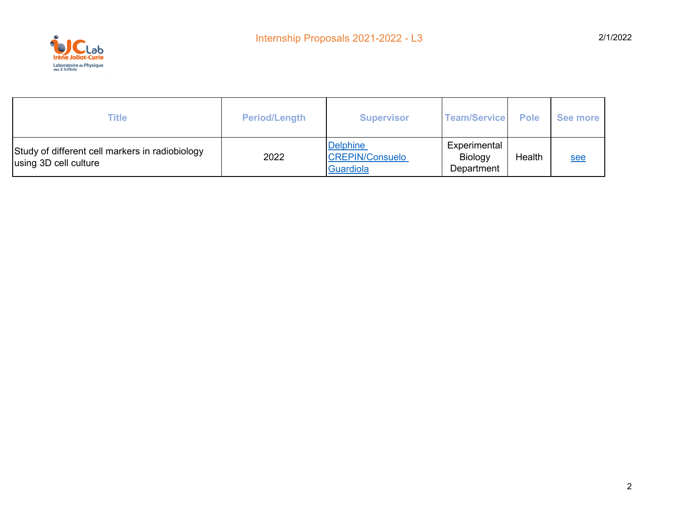

| Title                                                                    | <b>Period/Length</b> | <b>Supervisor</b>                                      | <b>Team/Service</b>                   | <b>Pole</b> | See more |
|--------------------------------------------------------------------------|----------------------|--------------------------------------------------------|---------------------------------------|-------------|----------|
| Study of different cell markers in radiobiology<br>using 3D cell culture | 2022                 | Delphine<br><b>CREPIN/Consuelo</b><br><b>Guardiola</b> | Experimental<br>Biology<br>Department | Health      | see      |